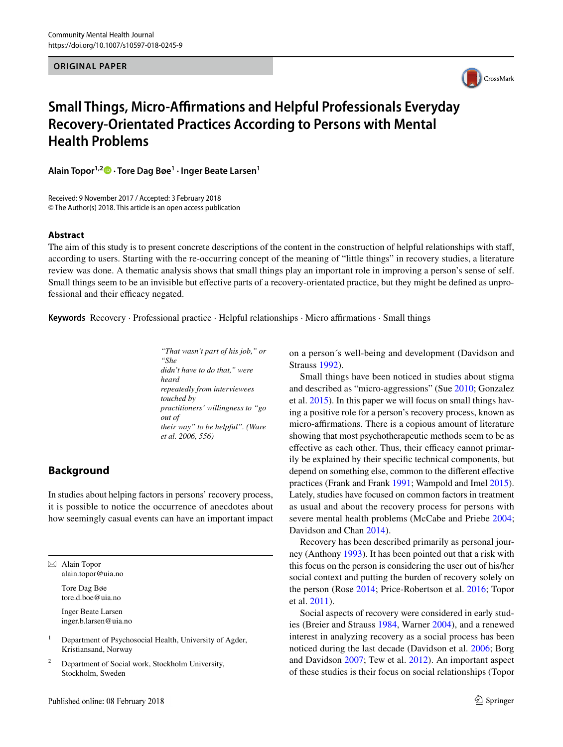**ORIGINAL PAPER**



# **Small Things, Micro-Affirmations and Helpful Professionals Everyday Recovery-Orientated Practices According to Persons with Mental Health Problems**

**Alain Topor1,2 · Tore Dag Bøe1 · Inger Beate Larsen1**

Received: 9 November 2017 / Accepted: 3 February 2018 © The Author(s) 2018. This article is an open access publication

#### **Abstract**

The aim of this study is to present concrete descriptions of the content in the construction of helpful relationships with staff, according to users. Starting with the re-occurring concept of the meaning of "little things" in recovery studies, a literature review was done. A thematic analysis shows that small things play an important role in improving a person's sense of self. Small things seem to be an invisible but effective parts of a recovery-orientated practice, but they might be defined as unprofessional and their efficacy negated.

**Keywords** Recovery · Professional practice · Helpful relationships · Micro affirmations · Small things

*"That wasn't part of his job," or "She didn't have to do that," were heard repeatedly from interviewees touched by practitioners' willingness to "go out of their way" to be helpful". (Ware et al. 2006, 556)*

# **Background**

In studies about helping factors in persons' recovery process, it is possible to notice the occurrence of anecdotes about how seemingly casual events can have an important impact

 $\boxtimes$  Alain Topor alain.topor@uia.no

> Tore Dag Bøe tore.d.boe@uia.no

Inger Beate Larsen inger.b.larsen@uia.no

<sup>1</sup> Department of Psychosocial Health, University of Agder, Kristiansand, Norway

Department of Social work, Stockholm University, Stockholm, Sweden

on a person´s well-being and development (Davidson and Strauss [1992\)](#page-7-0).

Small things have been noticed in studies about stigma and described as "micro-aggressions" (Sue [2010](#page-8-0); Gonzalez et al. [2015\)](#page-7-1). In this paper we will focus on small things having a positive role for a person's recovery process, known as micro-affirmations. There is a copious amount of literature showing that most psychotherapeutic methods seem to be as effective as each other. Thus, their efficacy cannot primarily be explained by their specific technical components, but depend on something else, common to the different effective practices (Frank and Frank [1991](#page-7-2); Wampold and Imel [2015](#page-8-1)). Lately, studies have focused on common factors in treatment as usual and about the recovery process for persons with severe mental health problems (McCabe and Priebe [2004](#page-7-3); Davidson and Chan [2014\)](#page-7-4).

Recovery has been described primarily as personal journey (Anthony [1993](#page-7-5)). It has been pointed out that a risk with this focus on the person is considering the user out of his/her social context and putting the burden of recovery solely on the person (Rose [2014](#page-8-2); Price-Robertson et al. [2016](#page-7-6); Topor et al. [2011](#page-8-3)).

Social aspects of recovery were considered in early studies (Breier and Strauss [1984](#page-7-7), Warner [2004\)](#page-8-4), and a renewed interest in analyzing recovery as a social process has been noticed during the last decade (Davidson et al. [2006;](#page-7-8) Borg and Davidson [2007;](#page-7-9) Tew et al. [2012\)](#page-8-5). An important aspect of these studies is their focus on social relationships (Topor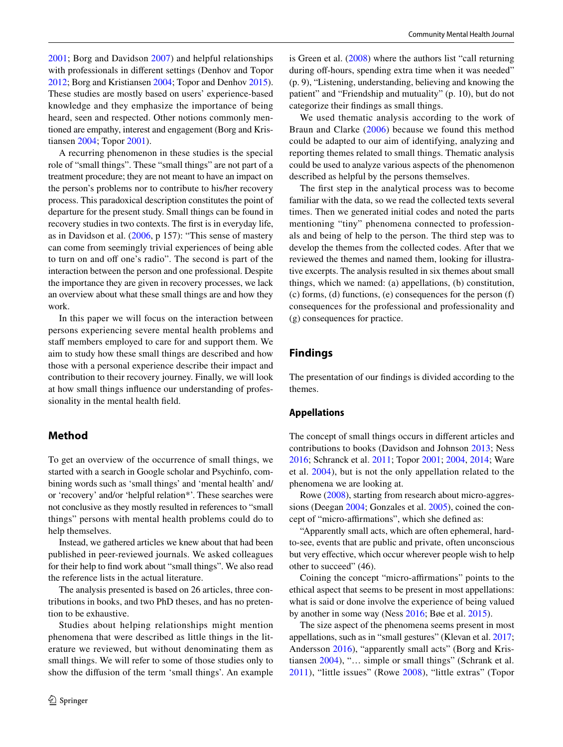[2001;](#page-8-6) Borg and Davidson [2007\)](#page-7-9) and helpful relationships with professionals in different settings (Denhov and Topor [2012;](#page-7-10) Borg and Kristiansen [2004](#page-7-11); Topor and Denhov [2015](#page-8-7)). These studies are mostly based on users' experience-based knowledge and they emphasize the importance of being heard, seen and respected. Other notions commonly mentioned are empathy, interest and engagement (Borg and Kristiansen [2004](#page-7-11); Topor [2001\)](#page-8-6).

A recurring phenomenon in these studies is the special role of "small things". These "small things" are not part of a treatment procedure; they are not meant to have an impact on the person's problems nor to contribute to his/her recovery process. This paradoxical description constitutes the point of departure for the present study. Small things can be found in recovery studies in two contexts. The first is in everyday life, as in Davidson et al. [\(2006](#page-7-8), p 157): "This sense of mastery can come from seemingly trivial experiences of being able to turn on and off one's radio". The second is part of the interaction between the person and one professional. Despite the importance they are given in recovery processes, we lack an overview about what these small things are and how they work.

In this paper we will focus on the interaction between persons experiencing severe mental health problems and staff members employed to care for and support them. We aim to study how these small things are described and how those with a personal experience describe their impact and contribution to their recovery journey. Finally, we will look at how small things influence our understanding of professionality in the mental health field.

### **Method**

To get an overview of the occurrence of small things, we started with a search in Google scholar and Psychinfo, combining words such as 'small things' and 'mental health' and/ or 'recovery' and/or 'helpful relation\*'. These searches were not conclusive as they mostly resulted in references to "small things" persons with mental health problems could do to help themselves.

Instead, we gathered articles we knew about that had been published in peer-reviewed journals. We asked colleagues for their help to find work about "small things". We also read the reference lists in the actual literature.

The analysis presented is based on 26 articles, three contributions in books, and two PhD theses, and has no pretention to be exhaustive.

Studies about helping relationships might mention phenomena that were described as little things in the literature we reviewed, but without denominating them as small things. We will refer to some of those studies only to show the diffusion of the term 'small things'. An example is Green et al. ([2008](#page-7-12)) where the authors list "call returning during off-hours, spending extra time when it was needed" (p. 9), "Listening, understanding, believing and knowing the patient" and "Friendship and mutuality" (p. 10), but do not categorize their findings as small things.

We used thematic analysis according to the work of Braun and Clarke ([2006\)](#page-7-13) because we found this method could be adapted to our aim of identifying, analyzing and reporting themes related to small things. Thematic analysis could be used to analyze various aspects of the phenomenon described as helpful by the persons themselves.

The first step in the analytical process was to become familiar with the data, so we read the collected texts several times. Then we generated initial codes and noted the parts mentioning "tiny" phenomena connected to professionals and being of help to the person. The third step was to develop the themes from the collected codes. After that we reviewed the themes and named them, looking for illustrative excerpts. The analysis resulted in six themes about small things, which we named: (a) appellations, (b) constitution, (c) forms, (d) functions, (e) consequences for the person (f) consequences for the professional and professionality and (g) consequences for practice.

### **Findings**

The presentation of our findings is divided according to the themes.

### **Appellations**

The concept of small things occurs in different articles and contributions to books (Davidson and Johnson [2013](#page-7-14); Ness [2016](#page-7-15); Schranck et al. [2011](#page-8-8); Topor [2001;](#page-8-6) [2004](#page-8-9), [2014;](#page-8-10) Ware et al. [2004\)](#page-8-11), but is not the only appellation related to the phenomena we are looking at.

Rowe ([2008\)](#page-8-12), starting from research about micro-aggressions (Deegan [2004](#page-7-16); Gonzales et al. [2005\)](#page-7-1), coined the concept of "micro-affirmations", which she defined as:

"Apparently small acts, which are often ephemeral, hardto-see, events that are public and private, often unconscious but very effective, which occur wherever people wish to help other to succeed" (46).

Coining the concept "micro-affirmations" points to the ethical aspect that seems to be present in most appellations: what is said or done involve the experience of being valued by another in some way (Ness [2016](#page-7-15); Bøe et al. [2015\)](#page-7-17).

The size aspect of the phenomena seems present in most appellations, such as in "small gestures" (Klevan et al. [2017](#page-7-18); Andersson [2016\)](#page-7-19), "apparently small acts" (Borg and Kristiansen [2004\)](#page-7-11), "… simple or small things" (Schrank et al. [2011\)](#page-8-8), "little issues" (Rowe [2008\)](#page-8-12), "little extras" (Topor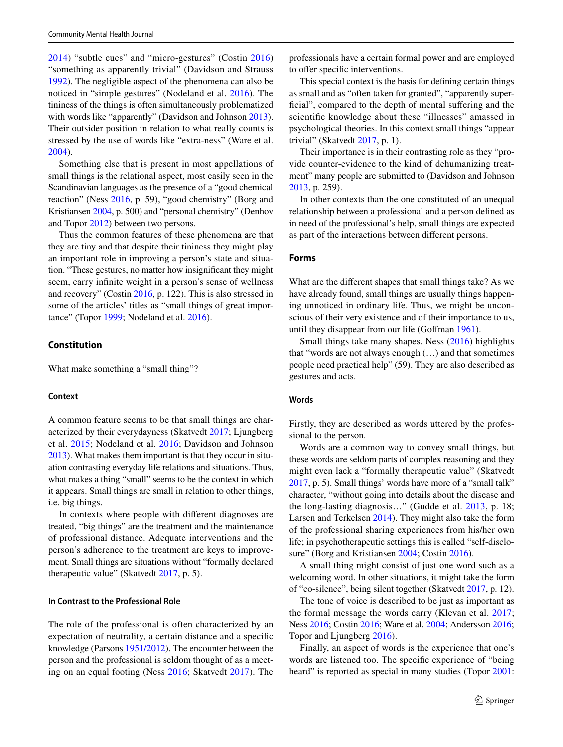[2014\)](#page-8-10) "subtle cues" and "micro-gestures" (Costin [2016\)](#page-7-20) "something as apparently trivial" (Davidson and Strauss [1992](#page-7-0)). The negligible aspect of the phenomena can also be noticed in "simple gestures" (Nodeland et al. [2016\)](#page-7-21). The tininess of the things is often simultaneously problematized with words like "apparently" (Davidson and Johnson [2013](#page-7-14)). Their outsider position in relation to what really counts is stressed by the use of words like "extra-ness" (Ware et al. [2004](#page-8-11)).

Something else that is present in most appellations of small things is the relational aspect, most easily seen in the Scandinavian languages as the presence of a "good chemical reaction" (Ness [2016,](#page-7-15) p. 59), "good chemistry" (Borg and Kristiansen [2004](#page-7-11), p. 500) and "personal chemistry" (Denhov and Topor [2012](#page-7-10)) between two persons.

Thus the common features of these phenomena are that they are tiny and that despite their tininess they might play an important role in improving a person's state and situation. "These gestures, no matter how insignificant they might seem, carry infinite weight in a person's sense of wellness and recovery" (Costin [2016,](#page-7-20) p. 122). This is also stressed in some of the articles' titles as "small things of great importance" (Topor [1999;](#page-8-13) Nodeland et al. [2016\)](#page-7-21).

### **Constitution**

What make something a "small thing"?

### **Context**

A common feature seems to be that small things are characterized by their everydayness (Skatvedt [2017;](#page-8-14) Ljungberg et al. [2015](#page-7-22); Nodeland et al. [2016](#page-7-21); Davidson and Johnson [2013\)](#page-7-14). What makes them important is that they occur in situation contrasting everyday life relations and situations. Thus, what makes a thing "small" seems to be the context in which it appears. Small things are small in relation to other things, i.e. big things.

In contexts where people with different diagnoses are treated, "big things" are the treatment and the maintenance of professional distance. Adequate interventions and the person's adherence to the treatment are keys to improvement. Small things are situations without "formally declared therapeutic value" (Skatvedt [2017](#page-8-14), p. 5).

#### **In Contrast to the Professional Role**

The role of the professional is often characterized by an expectation of neutrality, a certain distance and a specific knowledge (Parsons [1951/2012\)](#page-7-23). The encounter between the person and the professional is seldom thought of as a meeting on an equal footing (Ness [2016](#page-7-15); Skatvedt [2017\)](#page-8-14). The professionals have a certain formal power and are employed to offer specific interventions.

This special context is the basis for defining certain things as small and as "often taken for granted", "apparently superficial", compared to the depth of mental suffering and the scientific knowledge about these "illnesses" amassed in psychological theories. In this context small things "appear trivial" (Skatvedt [2017,](#page-8-14) p. 1).

Their importance is in their contrasting role as they "provide counter-evidence to the kind of dehumanizing treatment" many people are submitted to (Davidson and Johnson [2013](#page-7-14), p. 259).

In other contexts than the one constituted of an unequal relationship between a professional and a person defined as in need of the professional's help, small things are expected as part of the interactions between different persons.

#### **Forms**

What are the different shapes that small things take? As we have already found, small things are usually things happening unnoticed in ordinary life. Thus, we might be unconscious of their very existence and of their importance to us, until they disappear from our life (Goffman [1961](#page-7-24)).

Small things take many shapes. Ness [\(2016\)](#page-7-15) highlights that "words are not always enough (…) and that sometimes people need practical help" (59). They are also described as gestures and acts.

#### **Words**

Firstly, they are described as words uttered by the professional to the person.

Words are a common way to convey small things, but these words are seldom parts of complex reasoning and they might even lack a "formally therapeutic value" (Skatvedt [2017](#page-8-14), p. 5). Small things' words have more of a "small talk" character, "without going into details about the disease and the long-lasting diagnosis…" (Gudde et al. [2013,](#page-7-25) p. 18; Larsen and Terkelsen [2014\)](#page-7-26). They might also take the form of the professional sharing experiences from his/her own life; in psychotherapeutic settings this is called "self-disclo-sure" (Borg and Kristiansen [2004;](#page-7-11) Costin [2016\)](#page-7-20).

A small thing might consist of just one word such as a welcoming word. In other situations, it might take the form of "co-silence", being silent together (Skatvedt [2017,](#page-8-14) p. 12).

The tone of voice is described to be just as important as the formal message the words carry (Klevan et al. [2017](#page-7-18); Ness [2016;](#page-7-15) Costin [2016](#page-7-20); Ware et al. [2004](#page-8-11); Andersson [2016](#page-7-19); Topor and Ljungberg [2016\)](#page-8-15).

Finally, an aspect of words is the experience that one's words are listened too. The specific experience of "being heard" is reported as special in many studies (Topor [2001](#page-8-6):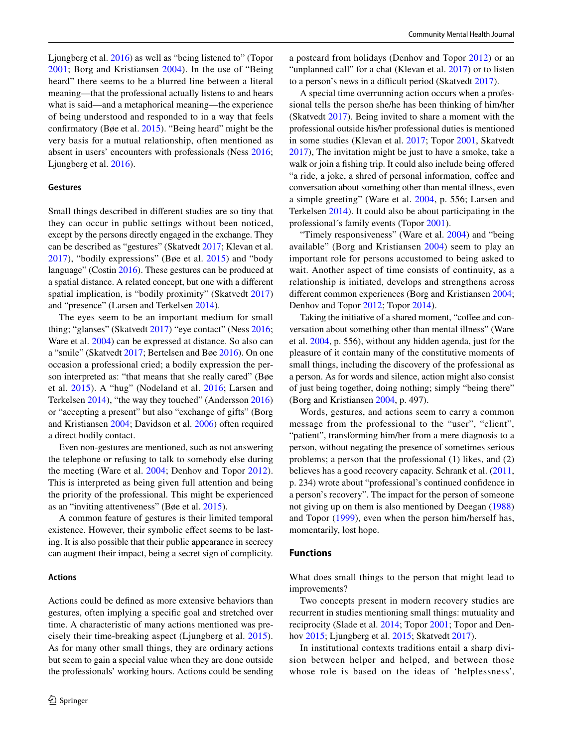Ljungberg et al. [2016](#page-7-27)) as well as "being listened to" (Topor [2001;](#page-8-6) Borg and Kristiansen [2004\)](#page-7-11). In the use of "Being heard" there seems to be a blurred line between a literal meaning—that the professional actually listens to and hears what is said—and a metaphorical meaning—the experience of being understood and responded to in a way that feels confirmatory (Bøe et al. [2015](#page-7-17)). "Being heard" might be the very basis for a mutual relationship, often mentioned as absent in users' encounters with professionals (Ness [2016](#page-7-15); Ljungberg et al. [2016\)](#page-7-27).

### **Gestures**

Small things described in different studies are so tiny that they can occur in public settings without been noticed, except by the persons directly engaged in the exchange. They can be described as "gestures" (Skatvedt [2017](#page-8-14); Klevan et al. [2017\)](#page-7-18), "bodily expressions" (Bøe et al. [2015](#page-7-17)) and "body language" (Costin [2016](#page-7-20)). These gestures can be produced at a spatial distance. A related concept, but one with a different spatial implication, is "bodily proximity" (Skatvedt [2017\)](#page-8-14) and "presence" (Larsen and Terkelsen [2014](#page-7-26)).

The eyes seem to be an important medium for small thing; "glanses" (Skatvedt [2017\)](#page-8-14) "eye contact" (Ness [2016](#page-7-15); Ware et al. [2004](#page-8-11)) can be expressed at distance. So also can a "smile" (Skatvedt [2017](#page-8-14); Bertelsen and Bøe [2016](#page-7-28)). On one occasion a professional cried; a bodily expression the person interpreted as: "that means that she really cared" (Bøe et al. [2015](#page-7-17)). A "hug" (Nodeland et al. [2016](#page-7-21); Larsen and Terkelsen [2014\)](#page-7-26), "the way they touched" (Andersson [2016\)](#page-7-19) or "accepting a present" but also "exchange of gifts" (Borg and Kristiansen [2004](#page-7-11); Davidson et al. [2006](#page-7-8)) often required a direct bodily contact.

Even non-gestures are mentioned, such as not answering the telephone or refusing to talk to somebody else during the meeting (Ware et al. [2004](#page-8-11); Denhov and Topor [2012](#page-7-10)). This is interpreted as being given full attention and being the priority of the professional. This might be experienced as an "inviting attentiveness" (Bøe et al. [2015](#page-7-17)).

A common feature of gestures is their limited temporal existence. However, their symbolic effect seems to be lasting. It is also possible that their public appearance in secrecy can augment their impact, being a secret sign of complicity.

#### **Actions**

Actions could be defined as more extensive behaviors than gestures, often implying a specific goal and stretched over time. A characteristic of many actions mentioned was precisely their time-breaking aspect (Ljungberg et al. [2015](#page-7-22)). As for many other small things, they are ordinary actions but seem to gain a special value when they are done outside the professionals' working hours. Actions could be sending a postcard from holidays (Denhov and Topor [2012\)](#page-7-10) or an "unplanned call" for a chat (Klevan et al. [2017\)](#page-7-18) or to listen to a person's news in a difficult period (Skatvedt [2017\)](#page-8-14).

A special time overrunning action occurs when a professional tells the person she/he has been thinking of him/her (Skatvedt [2017\)](#page-8-14). Being invited to share a moment with the professional outside his/her professional duties is mentioned in some studies (Klevan et al. [2017](#page-7-18); Topor [2001,](#page-8-6) Skatvedt [2017](#page-8-14)), The invitation might be just to have a smoke, take a walk or join a fishing trip. It could also include being offered "a ride, a joke, a shred of personal information, coffee and conversation about something other than mental illness, even a simple greeting" (Ware et al. [2004,](#page-8-11) p. 556; Larsen and Terkelsen [2014](#page-7-26)). It could also be about participating in the professional´s family events (Topor [2001\)](#page-8-6).

"Timely responsiveness" (Ware et al. [2004](#page-8-11)) and "being available" (Borg and Kristiansen [2004\)](#page-7-11) seem to play an important role for persons accustomed to being asked to wait. Another aspect of time consists of continuity, as a relationship is initiated, develops and strengthens across different common experiences (Borg and Kristiansen [2004](#page-7-11); Denhov and Topor [2012](#page-7-10); Topor [2014\)](#page-8-10).

Taking the initiative of a shared moment, "coffee and conversation about something other than mental illness" (Ware et al. [2004](#page-8-11), p. 556), without any hidden agenda, just for the pleasure of it contain many of the constitutive moments of small things, including the discovery of the professional as a person. As for words and silence, action might also consist of just being together, doing nothing; simply "being there" (Borg and Kristiansen [2004,](#page-7-11) p. 497).

Words, gestures, and actions seem to carry a common message from the professional to the "user", "client", "patient", transforming him/her from a mere diagnosis to a person, without negating the presence of sometimes serious problems; a person that the professional (1) likes, and (2) believes has a good recovery capacity. Schrank et al. ([2011,](#page-8-8) p. 234) wrote about "professional's continued confidence in a person's recovery". The impact for the person of someone not giving up on them is also mentioned by Deegan ([1988\)](#page-7-29) and Topor [\(1999\)](#page-8-13), even when the person him/herself has, momentarily, lost hope.

#### **Functions**

What does small things to the person that might lead to improvements?

Two concepts present in modern recovery studies are recurrent in studies mentioning small things: mutuality and reciprocity (Slade et al. [2014;](#page-8-16) Topor [2001](#page-8-6); Topor and Denhov [2015;](#page-8-7) Ljungberg et al. [2015](#page-7-22); Skatvedt [2017\)](#page-8-14).

In institutional contexts traditions entail a sharp division between helper and helped, and between those whose role is based on the ideas of 'helplessness',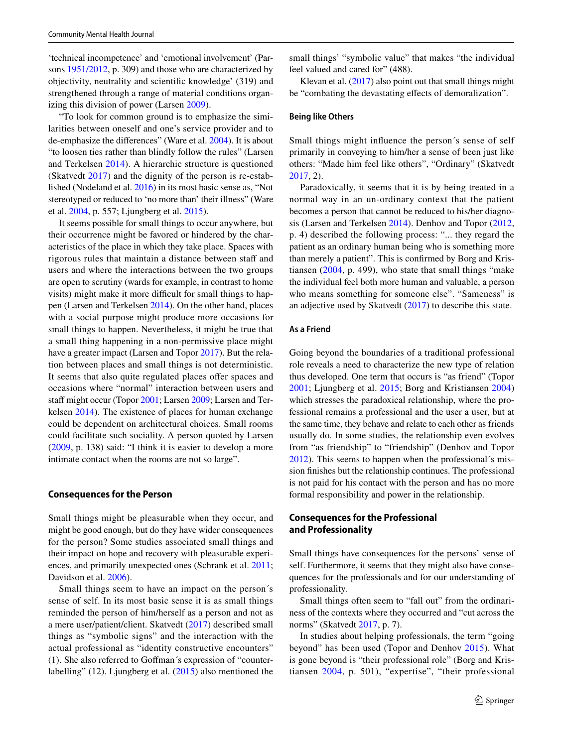'technical incompetence' and 'emotional involvement' (Parsons [1951/2012,](#page-7-23) p. 309) and those who are characterized by objectivity, neutrality and scientific knowledge' (319) and strengthened through a range of material conditions organizing this division of power (Larsen [2009\)](#page-7-30).

"To look for common ground is to emphasize the similarities between oneself and one's service provider and to de-emphasize the differences" (Ware et al. [2004](#page-8-11)). It is about "to loosen ties rather than blindly follow the rules" (Larsen and Terkelsen [2014](#page-7-26)). A hierarchic structure is questioned (Skatvedt [2017\)](#page-8-14) and the dignity of the person is re-established (Nodeland et al. [2016](#page-7-21)) in its most basic sense as, "Not stereotyped or reduced to 'no more than' their illness" (Ware et al. [2004](#page-8-11), p. 557; Ljungberg et al. [2015](#page-7-22)).

It seems possible for small things to occur anywhere, but their occurrence might be favored or hindered by the characteristics of the place in which they take place. Spaces with rigorous rules that maintain a distance between staff and users and where the interactions between the two groups are open to scrutiny (wards for example, in contrast to home visits) might make it more difficult for small things to happen (Larsen and Terkelsen [2014](#page-7-26)). On the other hand, places with a social purpose might produce more occasions for small things to happen. Nevertheless, it might be true that a small thing happening in a non-permissive place might have a greater impact (Larsen and Topor [2017\)](#page-7-31). But the relation between places and small things is not deterministic. It seems that also quite regulated places offer spaces and occasions where "normal" interaction between users and staff might occur (Topor [2001;](#page-8-6) Larsen [2009](#page-7-30); Larsen and Terkelsen [2014\)](#page-7-26). The existence of places for human exchange could be dependent on architectural choices. Small rooms could facilitate such sociality. A person quoted by Larsen [\(2009,](#page-7-30) p. 138) said: "I think it is easier to develop a more intimate contact when the rooms are not so large".

#### **Consequences for the Person**

Small things might be pleasurable when they occur, and might be good enough, but do they have wider consequences for the person? Some studies associated small things and their impact on hope and recovery with pleasurable experiences, and primarily unexpected ones (Schrank et al. [2011](#page-8-8); Davidson et al. [2006](#page-7-8)).

Small things seem to have an impact on the person´s sense of self. In its most basic sense it is as small things reminded the person of him/herself as a person and not as a mere user/patient/client. Skatvedt ([2017\)](#page-8-14) described small things as "symbolic signs" and the interaction with the actual professional as "identity constructive encounters" (1). She also referred to Goffman´s expression of "counterlabelling" (12). Ljungberg et al. [\(2015](#page-7-22)) also mentioned the small things' "symbolic value" that makes "the individual feel valued and cared for" (488).

Klevan et al. [\(2017](#page-7-18)) also point out that small things might be "combating the devastating effects of demoralization".

#### **Being like Others**

Small things might influence the person´s sense of self primarily in conveying to him/her a sense of been just like others: "Made him feel like others", "Ordinary" (Skatvedt [2017](#page-8-14), 2).

Paradoxically, it seems that it is by being treated in a normal way in an un-ordinary context that the patient becomes a person that cannot be reduced to his/her diagnosis (Larsen and Terkelsen [2014\)](#page-7-26). Denhov and Topor ([2012,](#page-7-10) p. 4) described the following process: "... they regard the patient as an ordinary human being who is something more than merely a patient". This is confirmed by Borg and Kristiansen ([2004](#page-7-11), p. 499), who state that small things "make the individual feel both more human and valuable, a person who means something for someone else". "Sameness" is an adjective used by Skatvedt [\(2017](#page-8-14)) to describe this state.

### **As a Friend**

Going beyond the boundaries of a traditional professional role reveals a need to characterize the new type of relation thus developed. One term that occurs is "as friend" (Topor [2001;](#page-8-6) Ljungberg et al. [2015;](#page-7-22) Borg and Kristiansen [2004\)](#page-7-11) which stresses the paradoxical relationship, where the professional remains a professional and the user a user, but at the same time, they behave and relate to each other as friends usually do. In some studies, the relationship even evolves from "as friendship" to "friendship" (Denhov and Topor [2012](#page-7-10)). This seems to happen when the professional´s mission finishes but the relationship continues. The professional is not paid for his contact with the person and has no more formal responsibility and power in the relationship.

### **Consequences for the Professional and Professionality**

Small things have consequences for the persons' sense of self. Furthermore, it seems that they might also have consequences for the professionals and for our understanding of professionality.

Small things often seem to "fall out" from the ordinariness of the contexts where they occurred and "cut across the norms" (Skatvedt [2017,](#page-8-14) p. 7).

In studies about helping professionals, the term "going beyond" has been used (Topor and Denhov [2015\)](#page-8-7). What is gone beyond is "their professional role" (Borg and Kristiansen [2004](#page-7-11), p. 501), "expertise", "their professional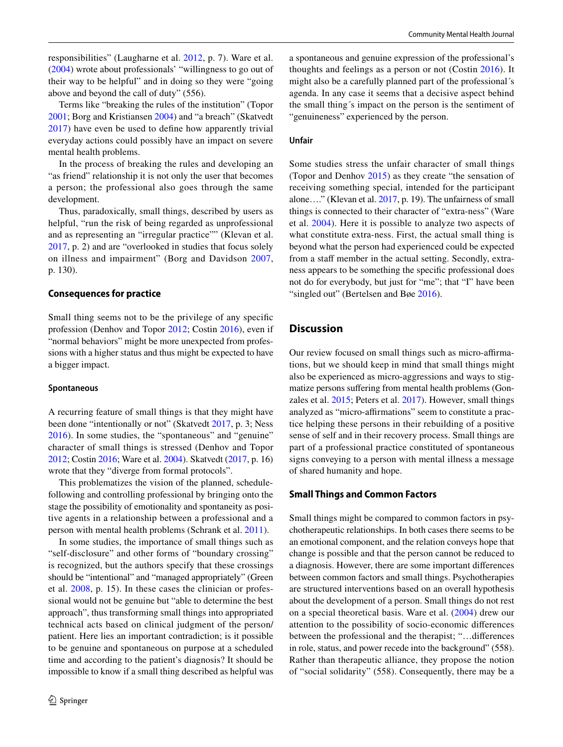responsibilities" (Laugharne et al. [2012,](#page-7-32) p. 7). Ware et al. [\(2004\)](#page-8-11) wrote about professionals' "willingness to go out of their way to be helpful" and in doing so they were "going above and beyond the call of duty" (556).

Terms like "breaking the rules of the institution" (Topor [2001](#page-8-6); Borg and Kristiansen [2004\)](#page-7-11) and "a breach" (Skatvedt [2017\)](#page-8-14) have even be used to define how apparently trivial everyday actions could possibly have an impact on severe mental health problems.

In the process of breaking the rules and developing an "as friend" relationship it is not only the user that becomes a person; the professional also goes through the same development.

Thus, paradoxically, small things, described by users as helpful, "run the risk of being regarded as unprofessional and as representing an "irregular practice"" (Klevan et al. [2017](#page-7-18), p. 2) and are "overlooked in studies that focus solely on illness and impairment" (Borg and Davidson [2007,](#page-7-9) p. 130).

### **Consequences for practice**

Small thing seems not to be the privilege of any specific profession (Denhov and Topor [2012](#page-7-9); Costin [2016\)](#page-7-20), even if "normal behaviors" might be more unexpected from professions with a higher status and thus might be expected to have a bigger impact.

### **Spontaneous**

A recurring feature of small things is that they might have been done "intentionally or not" (Skatvedt [2017](#page-8-14), p. 3; Ness [2016\)](#page-7-15). In some studies, the "spontaneous" and "genuine" character of small things is stressed (Denhov and Topor [2012;](#page-7-10) Costin [2016](#page-7-20); Ware et al. [2004](#page-8-11)). Skatvedt ([2017](#page-8-14), p. 16) wrote that they "diverge from formal protocols".

This problematizes the vision of the planned, schedulefollowing and controlling professional by bringing onto the stage the possibility of emotionality and spontaneity as positive agents in a relationship between a professional and a person with mental health problems (Schrank et al. [2011](#page-8-8)).

In some studies, the importance of small things such as "self-disclosure" and other forms of "boundary crossing" is recognized, but the authors specify that these crossings should be "intentional" and "managed appropriately" (Green et al. [2008,](#page-7-12) p. 15). In these cases the clinician or professional would not be genuine but "able to determine the best approach", thus transforming small things into appropriated technical acts based on clinical judgment of the person/ patient. Here lies an important contradiction; is it possible to be genuine and spontaneous on purpose at a scheduled time and according to the patient's diagnosis? It should be impossible to know if a small thing described as helpful was a spontaneous and genuine expression of the professional's thoughts and feelings as a person or not (Costin [2016\)](#page-7-20). It might also be a carefully planned part of the professional´s agenda. In any case it seems that a decisive aspect behind the small thing´s impact on the person is the sentiment of "genuineness" experienced by the person.

### **Unfair**

Some studies stress the unfair character of small things (Topor and Denhov [2015\)](#page-8-7) as they create "the sensation of receiving something special, intended for the participant alone…." (Klevan et al. [2017](#page-7-18), p. 19). The unfairness of small things is connected to their character of "extra-ness" (Ware et al. [2004\)](#page-8-11). Here it is possible to analyze two aspects of what constitute extra-ness. First, the actual small thing is beyond what the person had experienced could be expected from a staff member in the actual setting. Secondly, extraness appears to be something the specific professional does not do for everybody, but just for "me"; that "I" have been "singled out" (Bertelsen and Bøe [2016](#page-7-28)).

# **Discussion**

Our review focused on small things such as micro-affirmations, but we should keep in mind that small things might also be experienced as micro-aggressions and ways to stigmatize persons suffering from mental health problems (Gonzales et al. [2015](#page-7-1); Peters et al. [2017\)](#page-7-33). However, small things analyzed as "micro-affirmations" seem to constitute a practice helping these persons in their rebuilding of a positive sense of self and in their recovery process. Small things are part of a professional practice constituted of spontaneous signs conveying to a person with mental illness a message of shared humanity and hope.

### **Small Things and Common Factors**

Small things might be compared to common factors in psychotherapeutic relationships. In both cases there seems to be an emotional component, and the relation conveys hope that change is possible and that the person cannot be reduced to a diagnosis. However, there are some important differences between common factors and small things. Psychotherapies are structured interventions based on an overall hypothesis about the development of a person. Small things do not rest on a special theoretical basis. Ware et al. ([2004](#page-8-11)) drew our attention to the possibility of socio-economic differences between the professional and the therapist; "…differences in role, status, and power recede into the background" (558). Rather than therapeutic alliance, they propose the notion of "social solidarity" (558). Consequently, there may be a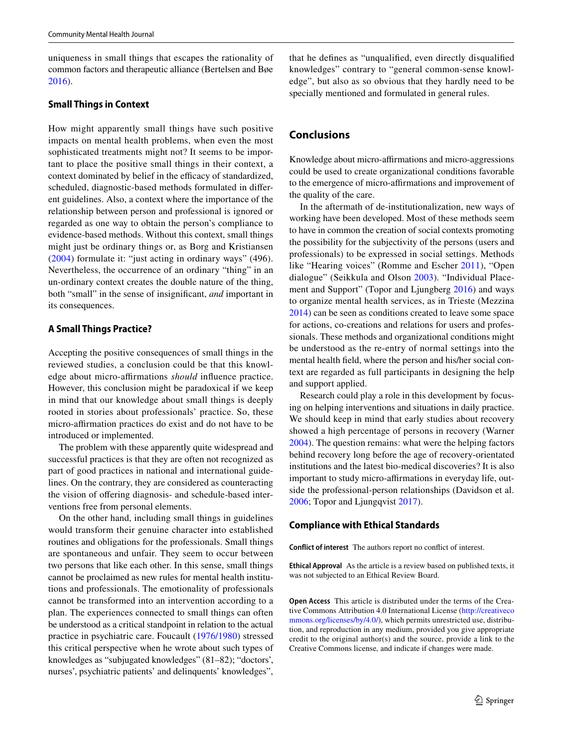uniqueness in small things that escapes the rationality of common factors and therapeutic alliance (Bertelsen and Bøe [2016](#page-7-28)).

#### **Small Things in Context**

How might apparently small things have such positive impacts on mental health problems, when even the most sophisticated treatments might not? It seems to be important to place the positive small things in their context, a context dominated by belief in the efficacy of standardized, scheduled, diagnostic-based methods formulated in different guidelines. Also, a context where the importance of the relationship between person and professional is ignored or regarded as one way to obtain the person's compliance to evidence-based methods. Without this context, small things might just be ordinary things or, as Borg and Kristiansen [\(2004](#page-7-11)) formulate it: "just acting in ordinary ways" (496). Nevertheless, the occurrence of an ordinary "thing" in an un-ordinary context creates the double nature of the thing, both "small" in the sense of insignificant, *and* important in its consequences.

### **A Small Things Practice?**

Accepting the positive consequences of small things in the reviewed studies, a conclusion could be that this knowledge about micro-affirmations *should* influence practice. However, this conclusion might be paradoxical if we keep in mind that our knowledge about small things is deeply rooted in stories about professionals' practice. So, these micro-affirmation practices do exist and do not have to be introduced or implemented.

The problem with these apparently quite widespread and successful practices is that they are often not recognized as part of good practices in national and international guidelines. On the contrary, they are considered as counteracting the vision of offering diagnosis- and schedule-based interventions free from personal elements.

On the other hand, including small things in guidelines would transform their genuine character into established routines and obligations for the professionals. Small things are spontaneous and unfair. They seem to occur between two persons that like each other. In this sense, small things cannot be proclaimed as new rules for mental health institutions and professionals. The emotionality of professionals cannot be transformed into an intervention according to a plan. The experiences connected to small things can often be understood as a critical standpoint in relation to the actual practice in psychiatric care. Foucault ([1976/1980](#page-7-34)) stressed this critical perspective when he wrote about such types of knowledges as "subjugated knowledges" (81–82); "doctors', nurses', psychiatric patients' and delinquents' knowledges", that he defines as "unqualified, even directly disqualified knowledges" contrary to "general common-sense knowledge", but also as so obvious that they hardly need to be specially mentioned and formulated in general rules.

## **Conclusions**

Knowledge about micro-affirmations and micro-aggressions could be used to create organizational conditions favorable to the emergence of micro-affirmations and improvement of the quality of the care.

In the aftermath of de-institutionalization, new ways of working have been developed. Most of these methods seem to have in common the creation of social contexts promoting the possibility for the subjectivity of the persons (users and professionals) to be expressed in social settings. Methods like "Hearing voices" (Romme and Escher [2011](#page-7-35)), "Open dialogue" (Seikkula and Olson [2003\)](#page-8-17). "Individual Placement and Support" (Topor and Ljungberg [2016](#page-8-15)) and ways to organize mental health services, as in Trieste (Mezzina [2014](#page-7-36)) can be seen as conditions created to leave some space for actions, co-creations and relations for users and professionals. These methods and organizational conditions might be understood as the re-entry of normal settings into the mental health field, where the person and his/her social context are regarded as full participants in designing the help and support applied.

Research could play a role in this development by focusing on helping interventions and situations in daily practice. We should keep in mind that early studies about recovery showed a high percentage of persons in recovery (Warner [2004](#page-8-4)). The question remains: what were the helping factors behind recovery long before the age of recovery-orientated institutions and the latest bio-medical discoveries? It is also important to study micro-affirmations in everyday life, outside the professional-person relationships (Davidson et al. [2006](#page-7-8); Topor and Ljungqvist [2017\)](#page-8-18).

### **Compliance with Ethical Standards**

**Conflict of interest** The authors report no conflict of interest.

**Ethical Approval** As the article is a review based on published texts, it was not subjected to an Ethical Review Board.

**Open Access** This article is distributed under the terms of the Creative Commons Attribution 4.0 International License ([http://creativeco](http://creativecommons.org/licenses/by/4.0/) [mmons.org/licenses/by/4.0/](http://creativecommons.org/licenses/by/4.0/)), which permits unrestricted use, distribution, and reproduction in any medium, provided you give appropriate credit to the original author(s) and the source, provide a link to the Creative Commons license, and indicate if changes were made.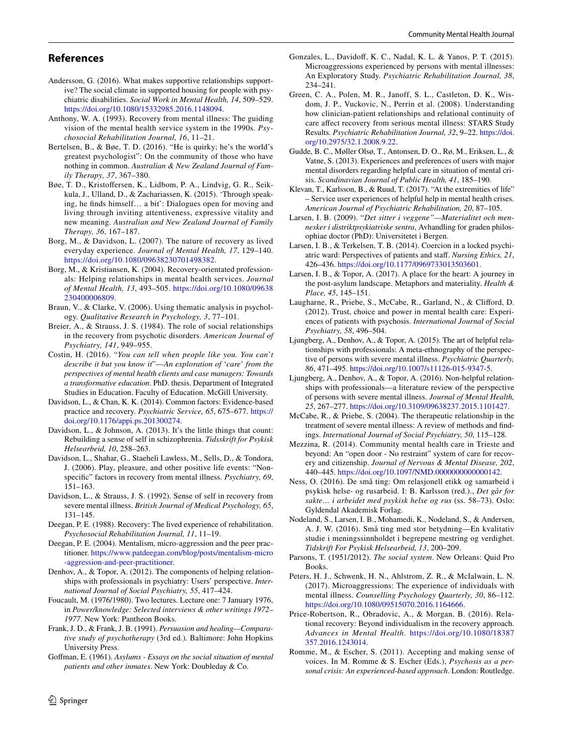### **References**

- <span id="page-7-19"></span>Andersson, G. (2016). What makes supportive relationships supportive? The social climate in supported housing for people with psychiatric disabilities. *Social Work in Mental Health, 14*, 509–529. <https://doi.org/10.1080/15332985.2016.1148094>.
- <span id="page-7-5"></span>Anthony, W. A. (1993). Recovery from mental illness: The guiding vision of the mental health service system in the 1990s. *Psychosocial Rehabilitation Journal, 16*, 11–21.
- <span id="page-7-28"></span>Bertelsen, B., & Bøe, T. D. (2016). "He is quirky; he's the world's greatest psychologist": On the community of those who have nothing in common. *Australian & New Zealand Journal of Family Therapy, 37*, 367–380.
- <span id="page-7-17"></span>Bøe, T. D., Kristoffersen, K., Lidbom, P. A., Lindvig, G. R., Seikkula, J., Ulland, D., & Zachariassen, K. (2015). 'Through speaking, he finds himself… a bit': Dialogues open for moving and living through inviting attentiveness, expressive vitality and new meaning. *Australian and New Zealand Journal of Family Therapy, 36*, 167–187.
- <span id="page-7-9"></span>Borg, M., & Davidson, L. (2007). The nature of recovery as lived everyday experience. *Journal of Mental Health, 17*, 129–140. <https://doi.org/10.1080/09638230701498382>.
- <span id="page-7-11"></span>Borg, M., & Kristiansen, K. (2004). Recovery-orientated professionals: Helping relationships in mental health services. *Journal of Mental Health, 13*, 493–505. [https://doi.org/10.1080/09638](https://doi.org/10.1080/09638230400006809) [230400006809.](https://doi.org/10.1080/09638230400006809)
- <span id="page-7-13"></span>Braun, V., & Clarke, V. (2006). Using thematic analysis in psychology. *Qualitative Research in Psychology, 3*, 77–101.
- <span id="page-7-7"></span>Breier, A., & Strauss, J. S. (1984). The role of social relationships in the recovery from psychotic disorders. *American Journal of Psychiatry, 141*, 949–955.
- <span id="page-7-20"></span>Costin, H. (2016). "*You can tell when people like you. You can*'*t describe it but you know it*"—*An exploration of* '*care*' *from the perspectives of mental health clients and case managers: Towards a transformative education*. PhD. thesis. Department of Integrated Studies in Education. Faculty of Education. McGill University.
- <span id="page-7-4"></span>Davidson, L., & Chan, K. K. (2014). Common factors: Evidence-based practice and recovery. *Psychiatric Service, 65*, 675–677. [https://](https://doi.org/10.1176/appi.ps.201300274) [doi.org/10.1176/appi.ps.201300274.](https://doi.org/10.1176/appi.ps.201300274)
- <span id="page-7-14"></span>Davidson, L., & Johnson, A. (2013). It's the little things that count: Rebuilding a sense of self in schizophrenia. *Tidsskrift for Psykisk Helsearbeid, 10*, 258–263.
- <span id="page-7-8"></span>Davidson, L., Shahar, G., Staeheli Lawless, M., Sells, D., & Tondora, J. (2006). Play, pleasure, and other positive life events: "Nonspecific" factors in recovery from mental illness. *Psychiatry, 69*, 151–163.
- <span id="page-7-0"></span>Davidson, L., & Strauss, J. S. (1992). Sense of self in recovery from severe mental illness. *British Journal of Medical Psychology, 65*, 131–145.
- <span id="page-7-29"></span>Deegan, P. E. (1988). Recovery: The lived experience of rehabilitation. *Psychosocial Rehabilitation Journal, 11*, 11–19.
- <span id="page-7-16"></span>Deegan, P. E. (2004). Mentalism, micro-aggression and the peer practitioner. [https://www.patdeegan.com/blog/posts/mentalism-micro](https://www.patdeegan.com/blog/posts/mentalism-micro-aggression-and-peer-practitioner) [-aggression-and-peer-practitioner.](https://www.patdeegan.com/blog/posts/mentalism-micro-aggression-and-peer-practitioner)
- <span id="page-7-10"></span>Denhov, A., & Topor, A. (2012). The components of helping relationships with professionals in psychiatry: Users' perspective. *International Journal of Social Psychiatry, 55*, 417–424.
- <span id="page-7-34"></span>Foucault, M. (1976/1980). Two lectures. Lecture one: 7 January 1976, in *Power/knowledge: Selected interviews & other writings 1972– 1977*. New York: Pantheon Books.
- <span id="page-7-2"></span>Frank, J. D., & Frank, J. B. (1991). *Persuasion and healing—Comparative study of psychotherapy* (3rd ed.). Baltimore: John Hopkins University Press.
- <span id="page-7-24"></span>Goffman, E. (1961). *Asylums - Essays on the social situation of mental patients and other inmates*. New York: Doubleday & Co.
- <span id="page-7-1"></span>Gonzales, L., Davidoff, K. C., Nadal, K. L. & Yanos, P. T. (2015). Microaggressions experienced by persons with mental illnesses: An Exploratory Study. *Psychiatric Rehabilitation Journal, 38*, 234–241.
- <span id="page-7-12"></span>Green, C. A., Polen, M. R., Janoff, S. L., Castleton, D. K., Wisdom, J. P., Vuckovic, N., Perrin et al. (2008). Understanding how clinician-patient relationships and relational continuity of care affect recovery from serious mental illness: STARS Study Results. *Psychiatric Rehabilitation Journal, 32*, 9–22. [https://doi.](https://doi.org/10.2975/32.1.2008.9.22) [org/10.2975/32.1.2008.9.22.](https://doi.org/10.2975/32.1.2008.9.22)
- <span id="page-7-25"></span>Gudde, B. C., Møller Olsø, T., Antonsen, D. O., Rø, M., Eriksen, L., & Vatne, S. (2013). Experiences and preferences of users with major mental disorders regarding helpful care in situation of mental crisis. *Scandinavian Journal of Public Health, 41*, 185–190.
- <span id="page-7-18"></span>Klevan, T., Karlsson, B., & Ruud, T. (2017). "At the extremities of life" – Service user experiences of helpful help in mental health crises. *American Journal of Psychiatric Rehabilitation, 20*, 87–105.
- <span id="page-7-30"></span>Larsen, I. B. (2009). "*Det sitter i veggene"—Materialitet och mennesker i distriktpsykiatriske sentra*, Avhandling for graden philosophiae doctor (PhD): Universitetet i Bergen.
- <span id="page-7-26"></span>Larsen, I. B., & Terkelsen, T. B. (2014). Coercion in a locked psychiatric ward: Perspectives of patients and staff. *Nursing Ethics, 21*, 426–436.<https://doi.org/10.1177/0969733013503601>.
- <span id="page-7-31"></span>Larsen, I. B., & Topor, A. (2017). A place for the heart: A journey in the post-asylum landscape. Metaphors and materiality. *Health & Place, 45*, 145–151.
- <span id="page-7-32"></span>Laugharne, R., Priebe, S., McCabe, R., Garland, N., & Clifford, D. (2012). Trust, choice and power in mental health care: Experiences of patients with psychosis. *International Journal of Social Psychiatry, 58*, 496–504.
- <span id="page-7-22"></span>Ljungberg, A., Denhov, A., & Topor, A. (2015). The art of helpful relationships with professionals: A meta-ethnography of the perspective of persons with severe mental illness. *Psychiatric Quarterly, 86*, 471–495.<https://doi.org/10.1007/s11126-015-9347-5>.
- <span id="page-7-27"></span>Ljungberg, A., Denhov, A., & Topor, A. (2016). Non-helpful relationships with professionals—a literature review of the perspective of persons with severe mental illness. *Journal of Mental Health, 25*, 267–277.<https://doi.org/10.3109/09638237.2015.1101427>.
- <span id="page-7-3"></span>McCabe, R., & Priebe, S. (2004). The therapeutic relationship in the treatment of severe mental illness: A review of methods and findings. *International Journal of Social Psychiatry, 50*, 115–128.
- <span id="page-7-36"></span>Mezzina, R. (2014). Community mental health care in Trieste and beyond: An "open door - No restraint" system of care for recovery and citizenship. *Journal of Nervous & Mental Disease, 202*, 440–445.<https://doi.org/10.1097/NMD.0000000000000142>.
- <span id="page-7-15"></span>Ness, O. (2016). De små ting: Om relasjonell etikk og samarbeid i psykisk helse- og rusarbeid. I: B. Karlsson (red.)., *Det går for sakte… i arbeidet med psykisk helse og rus* (ss. 58–73). Oslo: Gyldendal Akademisk Forlag.
- <span id="page-7-21"></span>Nodeland, S., Larsen, I. B., Mohamedi, K., Nodeland, S., & Andersen, A. J. W. (2016). Små ting med stor betydning—En kvalitativ studie i meningssinnholdet i begrepene mestring og verdighet. *Tidskrift For Psykisk Helsearbeid, 13*, 200–209.
- <span id="page-7-23"></span>Parsons, T. (1951/2012). *The social system*. New Orleans: Quid Pro Books.
- <span id="page-7-33"></span>Peters, H. J., Schwenk, H. N., Ahlstrom, Z. R., & McIalwain, L. N. (2017). Microaggressions: The experience of individuals with mental illness. *Counselling Psychology Quarterly, 30*, 86–112. <https://doi.org/10.1080/09515070.2016.1164666>.
- <span id="page-7-6"></span>Price-Robertson, R., Obradovic, A., & Morgan, B. (2016). Relational recovery: Beyond individualism in the recovery approach. *Advances in Mental Health*. [https://doi.org/10.1080/18387](https://doi.org/10.1080/18387357.2016.1243014) [357.2016.1243014.](https://doi.org/10.1080/18387357.2016.1243014)
- <span id="page-7-35"></span>Romme, M., & Escher, S. (2011). Accepting and making sense of voices. In M. Romme & S. Escher (Eds.), *Psychosis as a personal crisis: An experienced-based approach*. London: Routledge.